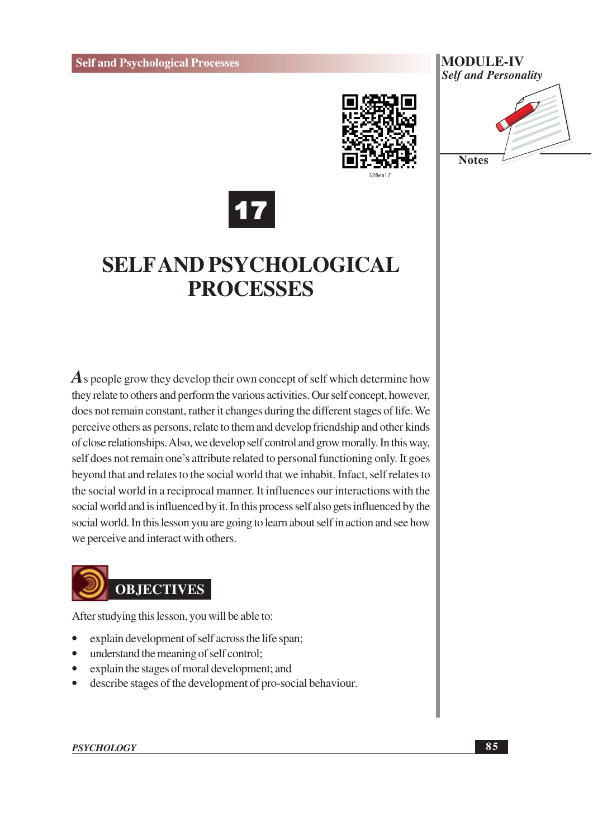







## **SELFAND PSYCHOLOGICAL PROCESSES**

 $\vec{A}$  s people grow they develop their own concept of self which determine how they relate to others and perform the various activities. Our self concept, however, does not remain constant, rather it changes during the different stages of life. We perceive others as persons, relate to them and develop friendship and other kinds of close relationships. Also, we develop self control and grow morally. In this way, self does not remain one's attribute related to personal functioning only. It goes beyond that and relates to the social world that we inhabit. Infact, self relates to the social world in a reciprocal manner. It influences our interactions with the social world and is influenced by it. In this process self also gets influenced by the social world. In this lesson you are going to learn about self in action and see how we perceive and interact with others.



After studying this lesson, you will be able to:

- explain development of self across the life span;
- understand the meaning of self control;
- explain the stages of moral development; and
- $\bullet$ describe stages of the development of pro-social behaviour.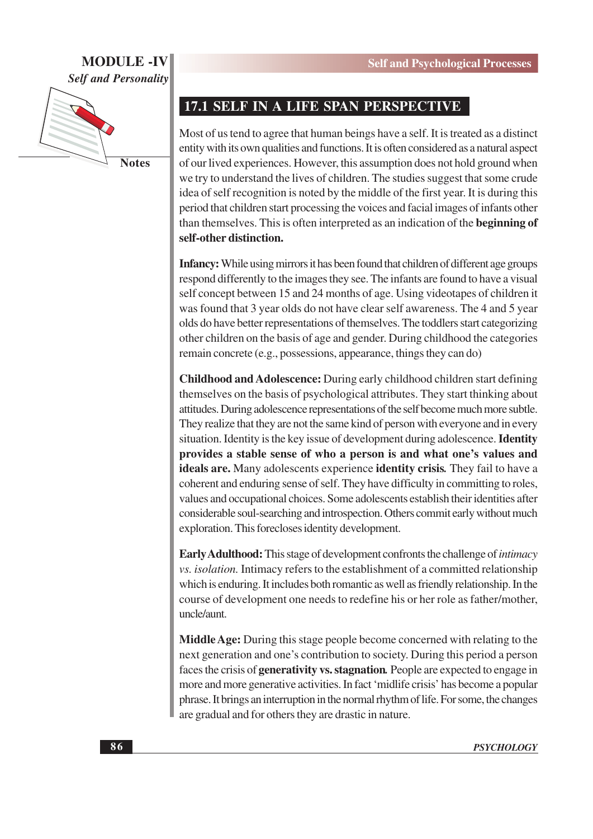#### **MODULE-IV Self and Personality**



**Notes** 

#### 17.1 SELF IN A LIFE SPAN PERSPECTIVE

Most of us tend to agree that human beings have a self. It is treated as a distinct entity with its own qualities and functions. It is often considered as a natural aspect of our lived experiences. However, this assumption does not hold ground when we try to understand the lives of children. The studies suggest that some crude idea of self recognition is noted by the middle of the first year. It is during this period that children start processing the voices and facial images of infants other than themselves. This is often interpreted as an indication of the beginning of self-other distinction.

Infancy: While using mirrors it has been found that children of different age groups respond differently to the images they see. The infants are found to have a visual self concept between 15 and 24 months of age. Using videotapes of children it was found that 3 year olds do not have clear self awareness. The 4 and 5 year olds do have better representations of themselves. The toddlers start categorizing other children on the basis of age and gender. During childhood the categories remain concrete (e.g., possessions, appearance, things they can do)

**Childhood and Adolescence:** During early childhood children start defining themselves on the basis of psychological attributes. They start thinking about attitudes. During adolescence representations of the self become much more subtle. They realize that they are not the same kind of person with everyone and in every situation. Identity is the key issue of development during adolescence. **Identity** provides a stable sense of who a person is and what one's values and **ideals are.** Many adolescents experience **identity crisis**. They fail to have a coherent and enduring sense of self. They have difficulty in committing to roles, values and occupational choices. Some adolescents establish their identities after considerable soul-searching and introspection. Others commit early without much exploration. This forecloses identity development.

**Early Adulthood:** This stage of development confronts the challenge of *intimacy* vs. *isolation*. Intimacy refers to the establishment of a committed relationship which is enduring. It includes both romantic as well as friendly relationship. In the course of development one needs to redefine his or her role as father/mother, uncle/aunt.

**Middle Age:** During this stage people become concerned with relating to the next generation and one's contribution to society. During this period a person faces the crisis of generativity vs. stagnation. People are expected to engage in more and more generative activities. In fact 'midlife crisis' has become a popular phrase. It brings an interruption in the normal rhythm of life. For some, the changes are gradual and for others they are drastic in nature.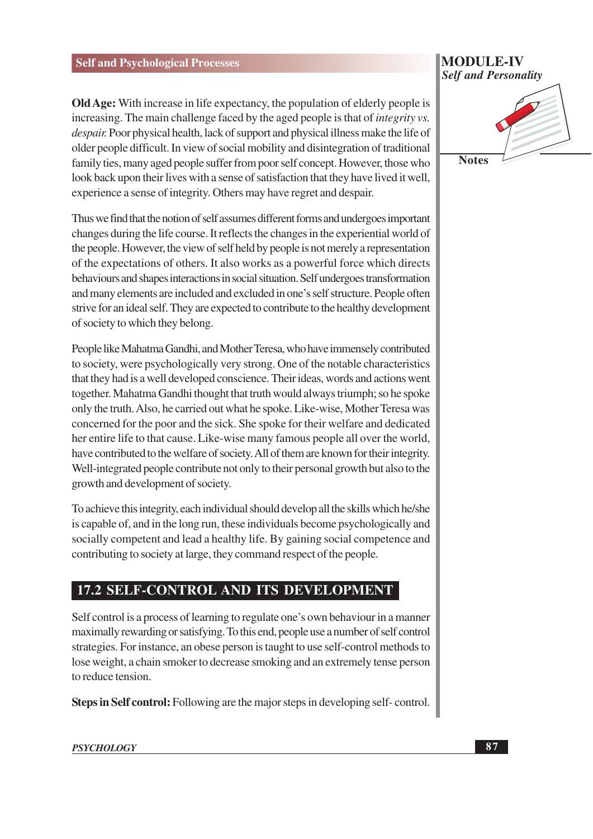**Old Age:** With increase in life expectancy, the population of elderly people is increasing. The main challenge faced by the aged people is that of *integrity vs.* despair. Poor physical health, lack of support and physical illness make the life of older people difficult. In view of social mobility and disintegration of traditional family ties, many aged people suffer from poor self concept. However, those who look back upon their lives with a sense of satisfaction that they have lived it well, experience a sense of integrity. Others may have regret and despair.

Thus we find that the notion of self assumes different forms and undergoes important changes during the life course. It reflects the changes in the experiential world of the people. However, the view of self held by people is not merely a representation of the expectations of others. It also works as a powerful force which directs behaviours and shapes interactions in social situation. Self undergoes transformation and many elements are included and excluded in one's self structure. People often strive for an ideal self. They are expected to contribute to the healthy development of society to which they belong.

People like Mahatma Gandhi, and Mother Teresa, who have immensely contributed to society, were psychologically very strong. One of the notable characteristics that they had is a well developed conscience. Their ideas, words and actions went together. Mahatma Gandhi thought that truth would always triumph; so he spoke only the truth. Also, he carried out what he spoke. Like-wise, Mother Teresa was concerned for the poor and the sick. She spoke for their welfare and dedicated her entire life to that cause. Like-wise many famous people all over the world, have contributed to the welfare of society. All of them are known for their integrity. Well-integrated people contribute not only to their personal growth but also to the growth and development of society.

To achieve this integrity, each individual should develop all the skills which he/she is capable of, and in the long run, these individuals become psychologically and socially competent and lead a healthy life. By gaining social competence and contributing to society at large, they command respect of the people.

#### **17.2 SELF-CONTROL AND ITS DEVELOPMENT**

Self control is a process of learning to regulate one's own behaviour in a manner maximally rewarding or satisfying. To this end, people use a number of self control strategies. For instance, an obese person is taught to use self-control methods to lose weight, a chain smoker to decrease smoking and an extremely tense person to reduce tension.

Steps in Self control: Following are the major steps in developing self-control.

#### **MODULE-IV Self and Personality**



**PSYCHOLOGY**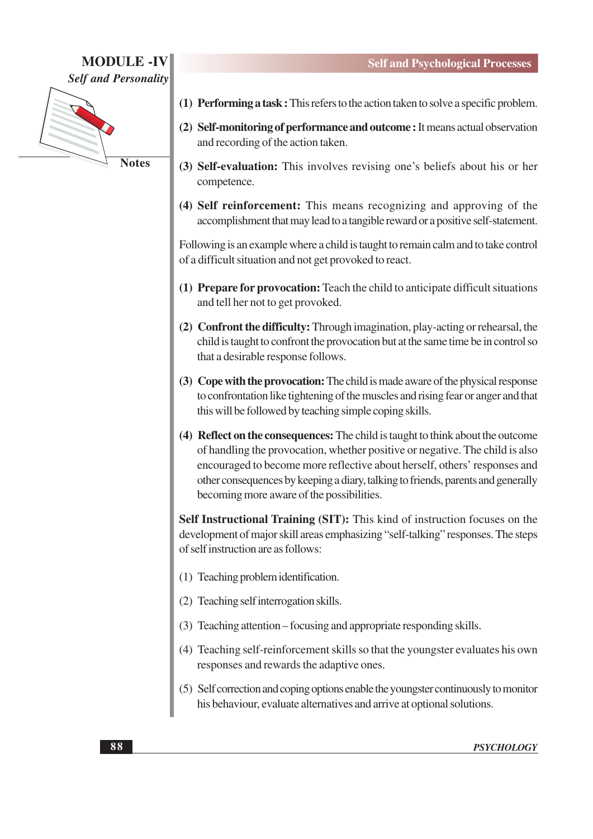#### **MODULE -IV Self and Personality**



- (1) Performing a task: This refers to the action taken to solve a specific problem.
- (2) Self-monitoring of performance and outcome : It means actual observation and recording of the action taken.
- (3) Self-evaluation: This involves revising one's beliefs about his or her competence.
- (4) Self reinforcement: This means recognizing and approving of the accomplishment that may lead to a tangible reward or a positive self-statement.

Following is an example where a child is taught to remain calm and to take control of a difficult situation and not get provoked to react.

- (1) Prepare for provocation: Teach the child to anticipate difficult situations and tell her not to get provoked.
- (2) Confront the difficulty: Through imagination, play-acting or rehearsal, the child is taught to confront the provocation but at the same time be in control so that a desirable response follows.
- (3) Cope with the provocation: The child is made aware of the physical response to confrontation like tightening of the muscles and rising fear or anger and that this will be followed by teaching simple coping skills.
- (4) Reflect on the consequences: The child is taught to think about the outcome of handling the provocation, whether positive or negative. The child is also encouraged to become more reflective about herself, others' responses and other consequences by keeping a diary, talking to friends, parents and generally becoming more aware of the possibilities.

Self Instructional Training (SIT): This kind of instruction focuses on the development of major skill areas emphasizing "self-talking" responses. The steps of self instruction are as follows:

- (1) Teaching problem identification.
- (2) Teaching self interrogation skills.
- (3) Teaching attention focusing and appropriate responding skills.
- (4) Teaching self-reinforcement skills so that the youngster evaluates his own responses and rewards the adaptive ones.
- (5) Self correction and coping options enable the youngster continuously to monitor his behaviour, evaluate alternatives and arrive at optional solutions.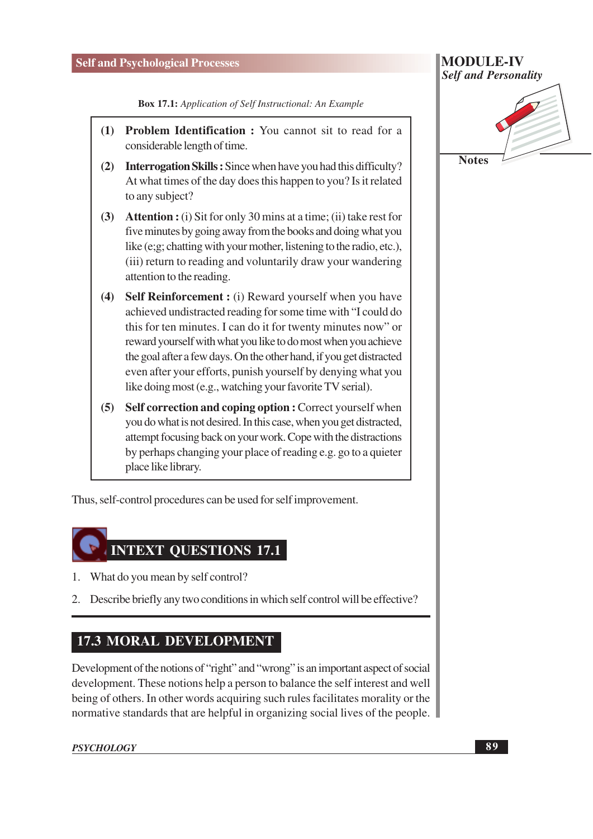#### **Self and Psychological Processes**

**Box 17.1:** Application of Self Instructional: An Example

- (1) Problem Identification: You cannot sit to read for a considerable length of time.
- (2) Interrogation Skills: Since when have you had this difficulty? At what times of the day does this happen to you? Is it related to any subject?
- (3) Attention: (i) Sit for only 30 mins at a time; (ii) take rest for five minutes by going away from the books and doing what you like (e;g; chatting with your mother, listening to the radio, etc.), (iii) return to reading and voluntarily draw your wandering attention to the reading.
- (4) Self Reinforcement : (i) Reward yourself when you have achieved undistracted reading for some time with "I could do this for ten minutes. I can do it for twenty minutes now" or reward yourself with what you like to do most when you achieve the goal after a few days. On the other hand, if you get distracted even after your efforts, punish yourself by denying what you like doing most (e.g., watching your favorite TV serial).
- (5) Self correction and coping option : Correct yourself when you do what is not desired. In this case, when you get distracted, attempt focusing back on your work. Cope with the distractions by perhaps changing your place of reading e.g. go to a quieter place like library.

Thus, self-control procedures can be used for self improvement.

### **INTEXT OUESTIONS 17.1**

- 1. What do you mean by self control?
- 2. Describe briefly any two conditions in which self control will be effective?

#### **17.3 MORAL DEVELOPMENT**

Development of the notions of "right" and "wrong" is an important aspect of social development. These notions help a person to balance the self interest and well being of others. In other words acquiring such rules facilitates morality or the normative standards that are helpful in organizing social lives of the people.

**PSYCHOLOGY** 

# **MODULE-IV Self and Personality**

**Notes**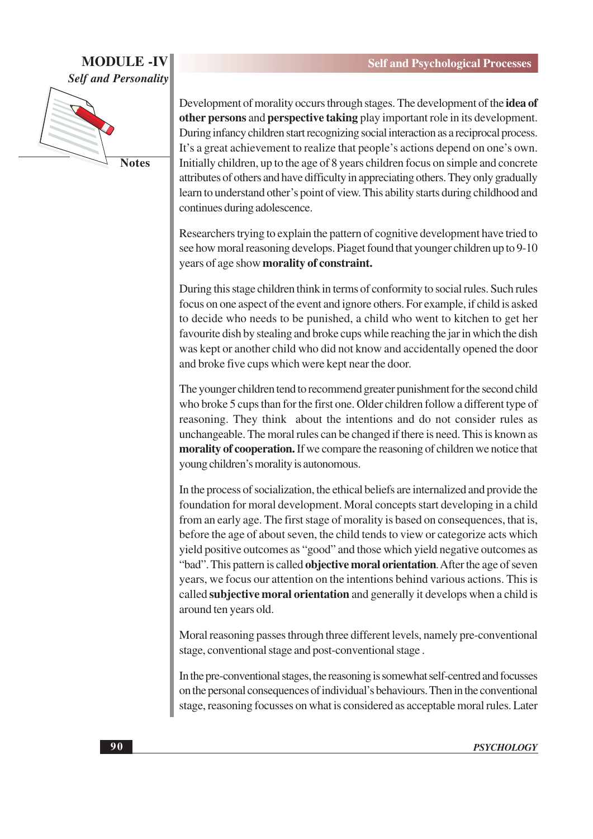#### **MODULE-IV Self and Personality**



**Notes** 

Development of morality occurs through stages. The development of the idea of other persons and perspective taking play important role in its development. During infancy children start recognizing social interaction as a reciprocal process. It's a great achievement to realize that people's actions depend on one's own. Initially children, up to the age of 8 years children focus on simple and concrete attributes of others and have difficulty in appreciating others. They only gradually learn to understand other's point of view. This ability starts during childhood and continues during adolescence.

Researchers trying to explain the pattern of cognitive development have tried to see how moral reasoning develops. Piaget found that younger children up to 9-10 years of age show morality of constraint.

During this stage children think in terms of conformity to social rules. Such rules focus on one aspect of the event and ignore others. For example, if child is asked to decide who needs to be punished, a child who went to kitchen to get her favourite dish by stealing and broke cups while reaching the jar in which the dish was kept or another child who did not know and accidentally opened the door and broke five cups which were kept near the door.

The younger children tend to recommend greater punishment for the second child who broke 5 cups than for the first one. Older children follow a different type of reasoning. They think about the intentions and do not consider rules as unchangeable. The moral rules can be changed if there is need. This is known as morality of cooperation. If we compare the reasoning of children we notice that young children's morality is autonomous.

In the process of socialization, the ethical beliefs are internalized and provide the foundation for moral development. Moral concepts start developing in a child from an early age. The first stage of morality is based on consequences, that is, before the age of about seven, the child tends to view or categorize acts which yield positive outcomes as "good" and those which yield negative outcomes as "bad". This pattern is called objective moral orientation. After the age of seven years, we focus our attention on the intentions behind various actions. This is called **subjective moral orientation** and generally it develops when a child is around ten years old.

Moral reasoning passes through three different levels, namely pre-conventional stage, conventional stage and post-conventional stage.

In the pre-conventional stages, the reasoning is somewhat self-centred and focusses on the personal consequences of individual's behaviours. Then in the conventional stage, reasoning focusses on what is considered as acceptable moral rules. Later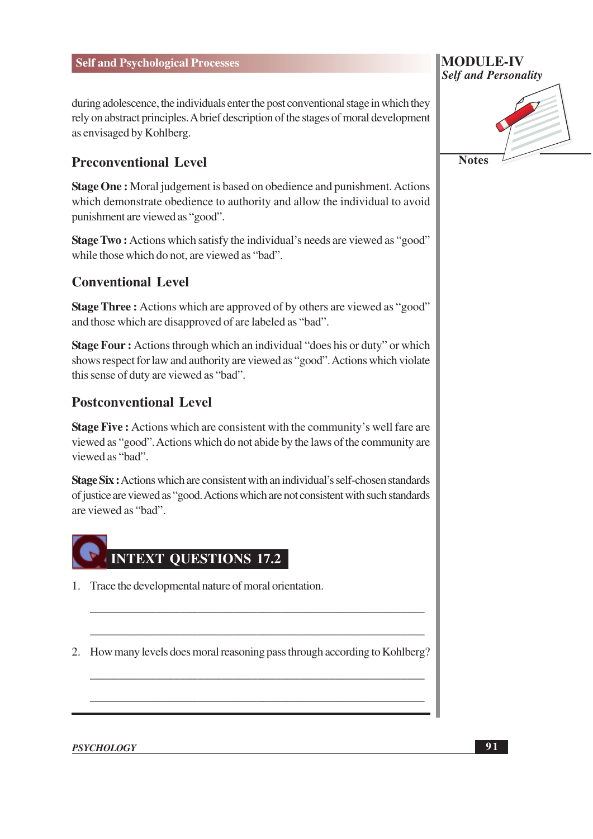during adolescence, the individuals enter the post conventional stage in which they rely on abstract principles. A brief description of the stages of moral development as envisaged by Kohlberg.

#### **Preconventional Level**

**Stage One:** Moral judgement is based on obedience and punishment. Actions which demonstrate obedience to authority and allow the individual to avoid punishment are viewed as "good".

**Stage Two:** Actions which satisfy the individual's needs are viewed as "good" while those which do not, are viewed as "bad".

#### **Conventional Level**

**Stage Three:** Actions which are approved of by others are viewed as "good" and those which are disapproved of are labeled as "bad".

**Stage Four:** Actions through which an individual "does his or duty" or which shows respect for law and authority are viewed as "good". Actions which violate this sense of duty are viewed as "bad".

#### **Postconventional Level**

Stage Five: Actions which are consistent with the community's well fare are viewed as "good". Actions which do not abide by the laws of the community are viewed as "bad".

Stage Six: Actions which are consistent with an individual's self-chosen standards of justice are viewed as "good. Actions which are not consistent with such standards are viewed as "bad"



1. Trace the developmental nature of moral orientation.

2. How many levels does moral reasoning pass through according to Kohlberg?

**Self and Personality Notes** 

**MODULE-IV** 

**PSYCHOLOGY**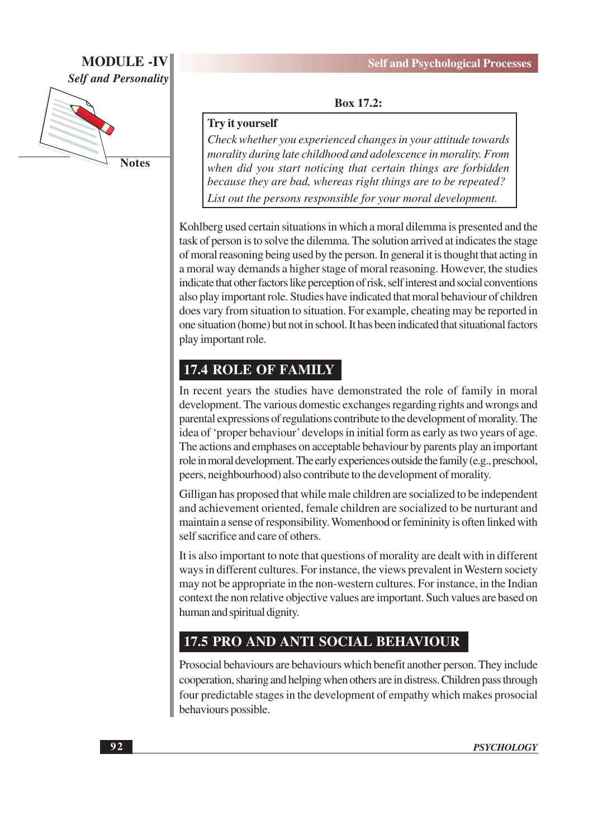#### **MODULE -IV Self and Personality**



**Box 17.2:** 

#### Try it yourself

Check whether you experienced changes in your attitude towards morality during late childhood and adolescence in morality. From when did you start noticing that certain things are forbidden because they are bad, whereas right things are to be repeated? List out the persons responsible for your moral development.

Kohlberg used certain situations in which a moral dilemma is presented and the task of person is to solve the dilemma. The solution arrived at indicates the stage of moral reasoning being used by the person. In general it is thought that acting in a moral way demands a higher stage of moral reasoning. However, the studies indicate that other factors like perception of risk, self interest and social conventions also play important role. Studies have indicated that moral behaviour of children does vary from situation to situation. For example, cheating may be reported in one situation (home) but not in school. It has been indicated that situational factors play important role.

#### **17.4 ROLE OF FAMILY**

In recent years the studies have demonstrated the role of family in moral development. The various domestic exchanges regarding rights and wrongs and parental expressions of regulations contribute to the development of morality. The idea of 'proper behaviour' develops in initial form as early as two years of age. The actions and emphases on acceptable behaviour by parents play an important role in moral development. The early experiences outside the family (e.g., preschool, peers, neighbourhood) also contribute to the development of morality.

Gilligan has proposed that while male children are socialized to be independent and achievement oriented, female children are socialized to be nurturant and maintain a sense of responsibility. Womenhood or femininity is often linked with self sacrifice and care of others.

It is also important to note that questions of morality are dealt with in different ways in different cultures. For instance, the views prevalent in Western society may not be appropriate in the non-western cultures. For instance, in the Indian context the non relative objective values are important. Such values are based on human and spiritual dignity.

#### 17.5 PRO AND ANTI SOCIAL BEHAVIOUR

Prosocial behaviours are behaviours which benefit another person. They include cooperation, sharing and helping when others are in distress. Children pass through four predictable stages in the development of empathy which makes prosocial behaviours possible.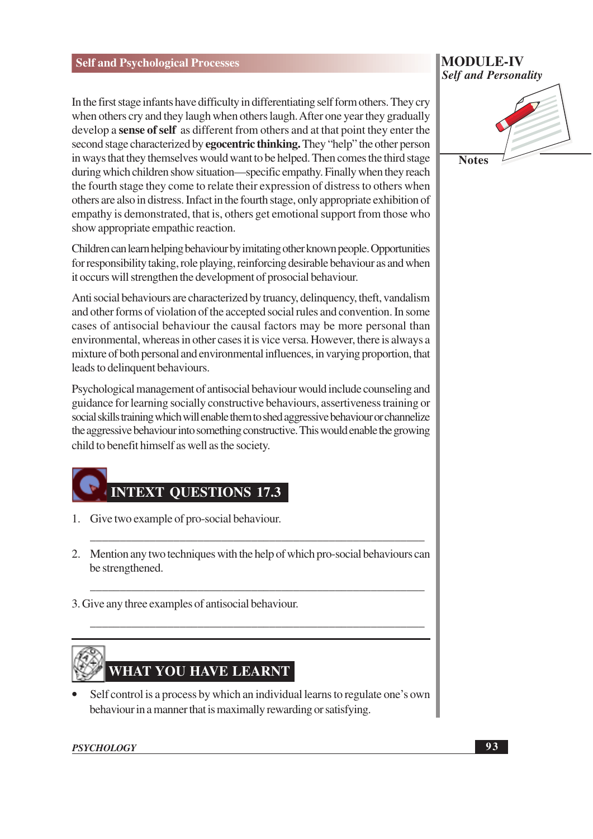In the first stage infants have difficulty in differentiating self form others. They cry when others cry and they laugh when others laugh. After one year they gradually develop a **sense of self** as different from others and at that point they enter the second stage characterized by **egocentric thinking.** They "help" the other person in ways that they themselves would want to be helped. Then comes the third stage during which children show situation—specific empathy. Finally when they reach the fourth stage they come to relate their expression of distress to others when others are also in distress. Infact in the fourth stage, only appropriate exhibition of empathy is demonstrated, that is, others get emotional support from those who show appropriate empathic reaction.

Children can learn helping behaviour by imitating other known people. Opportunities for responsibility taking, role playing, reinforcing desirable behaviour as and when it occurs will strengthen the development of prosocial behaviour.

Anti social behaviours are characterized by truancy, delinquency, theft, vandalism and other forms of violation of the accepted social rules and convention. In some cases of antisocial behaviour the causal factors may be more personal than environmental, whereas in other cases it is vice versa. However, there is always a mixture of both personal and environmental influences, in varying proportion, that leads to delinquent behaviours.

Psychological management of antisocial behaviour would include counseling and guidance for learning socially constructive behaviours, assertiveness training or social skills training which will enable them to shed aggressive behaviour or channelize the aggressive behaviour into something constructive. This would enable the growing child to benefit himself as well as the society.

## **INTEXT QUESTIONS 17.3**

- 1. Give two example of pro-social behaviour.
- 2. Mention any two techniques with the help of which pro-social behaviours can be strengthened.
- 3. Give any three examples of antisocial behaviour.

## **WHAT YOU HAVE LEARNT**

Self control is a process by which an individual learns to regulate one's own behaviour in a manner that is maximally rewarding or satisfying.

#### **PSYCHOLOGY**

#### **MODULE-IV Self and Personality**